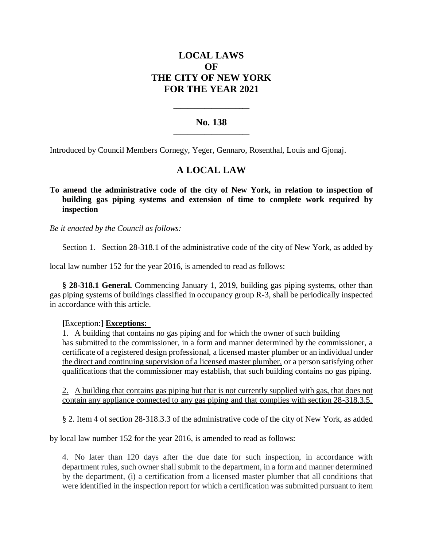# **LOCAL LAWS OF THE CITY OF NEW YORK FOR THE YEAR 2021**

### **No. 138 \_\_\_\_\_\_\_\_\_\_\_\_\_\_\_\_\_\_\_\_\_\_**

**\_\_\_\_\_\_\_\_\_\_\_\_\_\_\_\_\_\_\_\_\_\_**

Introduced by Council Members Cornegy, Yeger, Gennaro, Rosenthal, Louis and Gjonaj.

## **A LOCAL LAW**

### **To amend the administrative code of the city of New York, in relation to inspection of building gas piping systems and extension of time to complete work required by inspection**

*Be it enacted by the Council as follows:*

Section 1. Section 28-318.1 of the administrative code of the city of New York, as added by

local law number 152 for the year 2016, is amended to read as follows:

**§ 28-318.1 General.** Commencing January 1, 2019, building gas piping systems, other than gas piping systems of buildings classified in occupancy group R-3, shall be periodically inspected in accordance with this article.

### **[**Exception:**] Exceptions:**

1. A building that contains no gas piping and for which the owner of such building has submitted to the commissioner, in a form and manner determined by the commissioner, a certificate of a registered design professional, a licensed master plumber or an individual under the direct and continuing supervision of a licensed master plumber, or a person satisfying other qualifications that the commissioner may establish, that such building contains no gas piping.

2. A building that contains gas piping but that is not currently supplied with gas, that does not contain any appliance connected to any gas piping and that complies with section 28-318.3.5.

§ 2. Item 4 of section 28-318.3.3 of the administrative code of the city of New York, as added

by local law number 152 for the year 2016, is amended to read as follows:

4. No later than 120 days after the due date for such inspection, in accordance with department rules, such owner shall submit to the department, in a form and manner determined by the department, (i) a certification from a licensed master plumber that all conditions that were identified in the inspection report for which a certification was submitted pursuant to item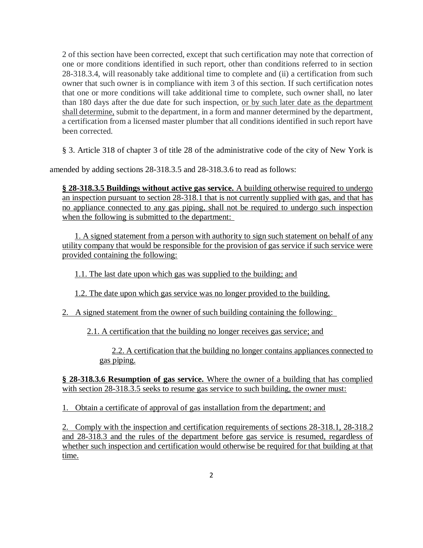2 of this section have been corrected, except that such certification may note that correction of one or more conditions identified in such report, other than conditions referred to in section 28-318.3.4, will reasonably take additional time to complete and (ii) a certification from such owner that such owner is in compliance with item 3 of this section. If such certification notes that one or more conditions will take additional time to complete, such owner shall, no later than 180 days after the due date for such inspection, or by such later date as the department shall determine, submit to the department, in a form and manner determined by the department, a certification from a licensed master plumber that all conditions identified in such report have been corrected.

§ 3. Article 318 of chapter 3 of title 28 of the administrative code of the city of New York is

amended by adding sections 28-318.3.5 and 28-318.3.6 to read as follows:

**§ 28-318.3.5 Buildings without active gas service.** A building otherwise required to undergo an inspection pursuant to section 28-318.1 that is not currently supplied with gas, and that has no appliance connected to any gas piping, shall not be required to undergo such inspection when the following is submitted to the department:

1. A signed statement from a person with authority to sign such statement on behalf of any utility company that would be responsible for the provision of gas service if such service were provided containing the following:

1.1. The last date upon which gas was supplied to the building; and

1.2. The date upon which gas service was no longer provided to the building.

2. A signed statement from the owner of such building containing the following:

2.1. A certification that the building no longer receives gas service; and

2.2. A certification that the building no longer contains appliances connected to gas piping.

**§ 28-318.3.6 Resumption of gas service.** Where the owner of a building that has complied with section 28-318.3.5 seeks to resume gas service to such building, the owner must:

1. Obtain a certificate of approval of gas installation from the department; and

2. Comply with the inspection and certification requirements of sections 28-318.1, 28-318.2 and 28-318.3 and the rules of the department before gas service is resumed, regardless of whether such inspection and certification would otherwise be required for that building at that time.